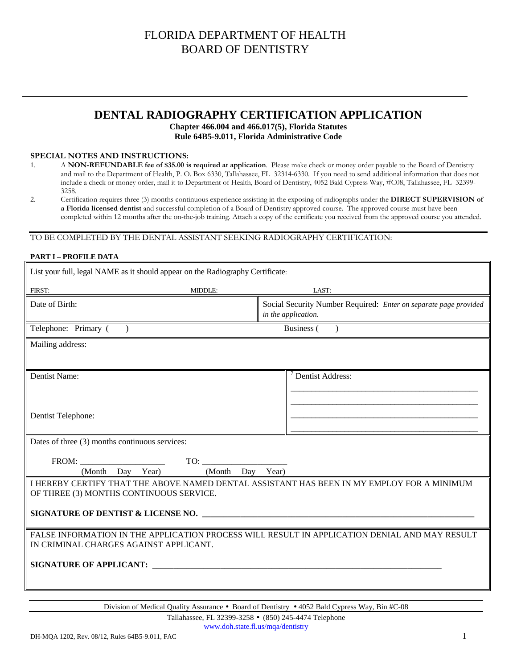## **DENTAL RADIOGRAPHY CERTIFICATION APPLICATION**

#### **Chapter 466.004 and 466.017(5), Florida Statutes Rule 64B5-9.011, Florida Administrative Code**

#### **SPECIAL NOTES AND INSTRUCTIONS:**

- 1. A **NON-REFUNDABLE fee of \$35.00 is required at application**. Please make check or money order payable to the Board of Dentistry and mail to the Department of Health, P. O. Box 6330, Tallahassee, FL 32314-6330. If you need to send additional information that does not include a check or money order, mail it to Department of Health, Board of Dentistry, 4052 Bald Cypress Way, #C08, Tallahassee, FL 32399- 3258.
- 2. Certification requires three (3) months continuous experience assisting in the exposing of radiographs under the **DIRECT SUPERVISION of a Florida licensed dentist** and successful completion of a Board of Dentistry approved course. The approved course must have been completed within 12 months after the on-the-job training. Attach a copy of the certificate you received from the approved course you attended.

### TO BE COMPLETED BY THE DENTAL ASSISTANT SEEKING RADIOGRAPHY CERTIFICATION:

#### **PART I – PROFILE DATA**

| List your full, legal NAME as it should appear on the Radiography Certificate:                                                          |                                                                                         |  |  |  |
|-----------------------------------------------------------------------------------------------------------------------------------------|-----------------------------------------------------------------------------------------|--|--|--|
| FIRST:<br><b>MIDDLE:</b>                                                                                                                | LAST:                                                                                   |  |  |  |
| Date of Birth:                                                                                                                          | Social Security Number Required: Enter on separate page provided<br>in the application. |  |  |  |
| Telephone: Primary ()                                                                                                                   | Business (<br>$\rightarrow$                                                             |  |  |  |
| Mailing address:                                                                                                                        |                                                                                         |  |  |  |
| Dentist Name:                                                                                                                           | Dentist Address:                                                                        |  |  |  |
| Dentist Telephone:                                                                                                                      |                                                                                         |  |  |  |
| Dates of three (3) months continuous services:                                                                                          |                                                                                         |  |  |  |
| (Month Day Year)<br>(Month Day                                                                                                          | Year)                                                                                   |  |  |  |
| I HEREBY CERTIFY THAT THE ABOVE NAMED DENTAL ASSISTANT HAS BEEN IN MY EMPLOY FOR A MINIMUM<br>OF THREE (3) MONTHS CONTINUOUS SERVICE.   |                                                                                         |  |  |  |
| SIGNATURE OF DENTIST & LICENSE NO.                                                                                                      |                                                                                         |  |  |  |
| FALSE INFORMATION IN THE APPLICATION PROCESS WILL RESULT IN APPLICATION DENIAL AND MAY RESULT<br>IN CRIMINAL CHARGES AGAINST APPLICANT. |                                                                                         |  |  |  |
| <b>SIGNATURE OF APPLICANT:</b> THE SERVICE OF APPLICANT:                                                                                |                                                                                         |  |  |  |

Division of Medical Quality Assurance • Board of Dentistry • 4052 Bald Cypress Way, Bin #C-08

Tallahassee, FL 32399-3258 • (850) 245-4474 Telephone www.doh.state.fl.us/mqa/dentistry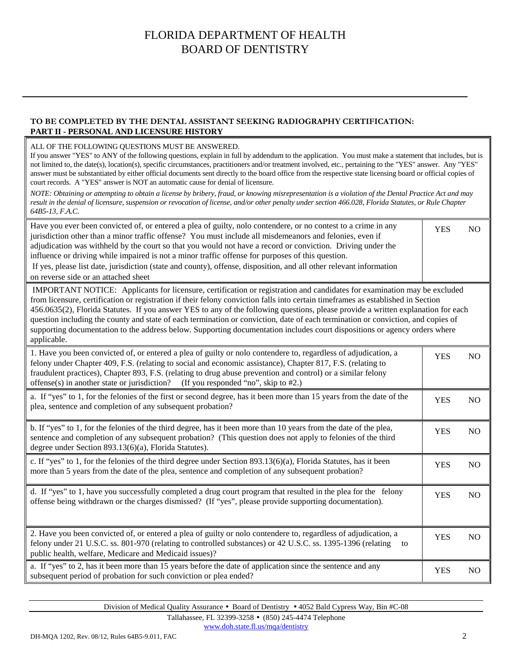### **TO BE COMPLETED BY THE DENTAL ASSISTANT SEEKING RADIOGRAPHY CERTIFICATION: PART II - PERSONAL AND LICENSURE HISTORY**

#### ALL OF THE FOLLOWING QUESTIONS MUST BE ANSWERED.

If you answer "YES" to ANY of the following questions, explain in full by addendum to the application. You must make a statement that includes, but is not limited to, the date(s), location(s), specific circumstances, practitioners and/or treatment involved, etc., pertaining to the "YES" answer. Any "YES" answer must be substantiated by either official documents sent directly to the board office from the respective state licensing board or official copies of court records. A "YES" answer is NOT an automatic cause for denial of licensure.

*NOTE: Obtaining or attempting to obtain a license by bribery, fraud, or knowing misrepresentation is a violation of the Dental Practice Act and may result in the denial of licensure, suspension or revocation of license, and/or other penalty under section 466.028, Florida Statutes, or Rule Chapter 64B5-13, F.A.C.* 

| Have you ever been convicted of, or entered a plea of guilty, nolo contendere, or no contest to a crime in any<br>jurisdiction other than a minor traffic offense? You must include all misdemeanors and felonies, even if<br>adjudication was withheld by the court so that you would not have a record or conviction. Driving under the<br>influence or driving while impaired is not a minor traffic offense for purposes of this question.<br>If yes, please list date, jurisdiction (state and county), offense, disposition, and all other relevant information<br>on reverse side or an attached sheet                                                                      | <b>YES</b> | N <sub>O</sub> |
|------------------------------------------------------------------------------------------------------------------------------------------------------------------------------------------------------------------------------------------------------------------------------------------------------------------------------------------------------------------------------------------------------------------------------------------------------------------------------------------------------------------------------------------------------------------------------------------------------------------------------------------------------------------------------------|------------|----------------|
| IMPORTANT NOTICE: Applicants for licensure, certification or registration and candidates for examination may be excluded<br>from licensure, certification or registration if their felony conviction falls into certain timeframes as established in Section<br>456.0635(2), Florida Statutes. If you answer YES to any of the following questions, please provide a written explanation for each<br>question including the county and state of each termination or conviction, date of each termination or conviction, and copies of<br>supporting documentation to the address below. Supporting documentation includes court dispositions or agency orders where<br>applicable. |            |                |
| 1. Have you been convicted of, or entered a plea of guilty or nolo contendere to, regardless of adjudication, a<br>felony under Chapter 409, F.S. (relating to social and economic assistance), Chapter 817, F.S. (relating to<br>fraudulent practices), Chapter 893, F.S. (relating to drug abuse prevention and control) or a similar felony<br>offense(s) in another state or jurisdiction?<br>(If you responded "no", skip to #2.)                                                                                                                                                                                                                                             | <b>YES</b> | N <sub>O</sub> |
| a. If "yes" to 1, for the felonies of the first or second degree, has it been more than 15 years from the date of the<br>plea, sentence and completion of any subsequent probation?                                                                                                                                                                                                                                                                                                                                                                                                                                                                                                | <b>YES</b> | N <sub>O</sub> |
| b. If "yes" to 1, for the felonies of the third degree, has it been more than 10 years from the date of the plea,<br>sentence and completion of any subsequent probation? (This question does not apply to felonies of the third<br>degree under Section 893.13(6)(a), Florida Statutes).                                                                                                                                                                                                                                                                                                                                                                                          | <b>YES</b> | N <sub>O</sub> |
| c. If "yes" to 1, for the felonies of the third degree under Section 893.13(6)(a), Florida Statutes, has it been<br>more than 5 years from the date of the plea, sentence and completion of any subsequent probation?                                                                                                                                                                                                                                                                                                                                                                                                                                                              | <b>YES</b> | NO             |
| d. If "yes" to 1, have you successfully completed a drug court program that resulted in the plea for the felony<br>offense being withdrawn or the charges dismissed? (If "yes", please provide supporting documentation).                                                                                                                                                                                                                                                                                                                                                                                                                                                          | <b>YES</b> | NO             |
| 2. Have you been convicted of, or entered a plea of guilty or nolo contendere to, regardless of adjudication, a<br>felony under 21 U.S.C. ss. 801-970 (relating to controlled substances) or 42 U.S.C. ss. 1395-1396 (relating<br>to<br>public health, welfare, Medicare and Medicaid issues)?                                                                                                                                                                                                                                                                                                                                                                                     | <b>YES</b> | N <sub>O</sub> |
| a. If "yes" to 2, has it been more than 15 years before the date of application since the sentence and any<br>subsequent period of probation for such conviction or plea ended?                                                                                                                                                                                                                                                                                                                                                                                                                                                                                                    | <b>YES</b> | N <sub>O</sub> |

Division of Medical Quality Assurance • Board of Dentistry • 4052 Bald Cypress Way, Bin #C-08

Tallahassee, FL 32399-3258 • (850) 245-4474 Telephone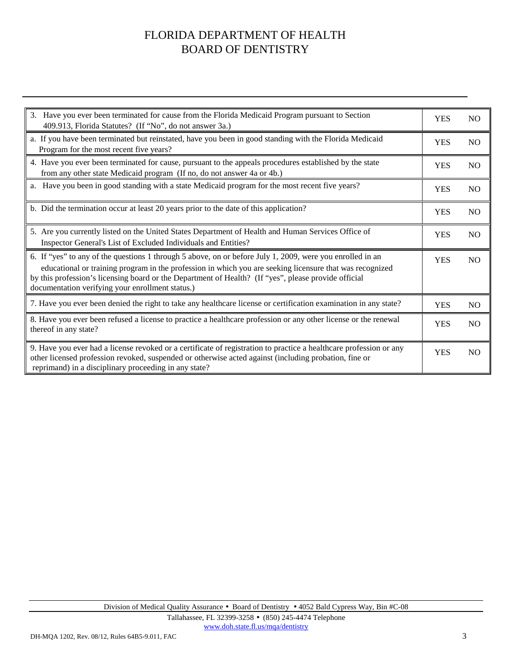| 3. Have you ever been terminated for cause from the Florida Medicaid Program pursuant to Section<br>409.913, Florida Statutes? (If "No", do not answer 3a.)                                                                                                                                                                                                                       | <b>YES</b> | N <sub>O</sub> |
|-----------------------------------------------------------------------------------------------------------------------------------------------------------------------------------------------------------------------------------------------------------------------------------------------------------------------------------------------------------------------------------|------------|----------------|
| a. If you have been terminated but reinstated, have you been in good standing with the Florida Medicaid<br>Program for the most recent five years?                                                                                                                                                                                                                                |            | N <sub>O</sub> |
| 4. Have you ever been terminated for cause, pursuant to the appeals procedures established by the state<br>from any other state Medicaid program (If no, do not answer 4a or 4b.)                                                                                                                                                                                                 |            | N <sub>O</sub> |
| a. Have you been in good standing with a state Medicaid program for the most recent five years?                                                                                                                                                                                                                                                                                   | <b>YES</b> | NO             |
| b. Did the termination occur at least 20 years prior to the date of this application?                                                                                                                                                                                                                                                                                             | <b>YES</b> | <b>NO</b>      |
| 5. Are you currently listed on the United States Department of Health and Human Services Office of<br>Inspector General's List of Excluded Individuals and Entities?                                                                                                                                                                                                              | <b>YES</b> | <b>NO</b>      |
| 6. If "yes" to any of the questions 1 through 5 above, on or before July 1, 2009, were you enrolled in an<br>educational or training program in the profession in which you are seeking licensure that was recognized<br>by this profession's licensing board or the Department of Health? (If "yes", please provide official<br>documentation verifying your enrollment status.) | <b>YES</b> | N <sub>O</sub> |
| 7. Have you ever been denied the right to take any healthcare license or certification examination in any state?                                                                                                                                                                                                                                                                  | <b>YES</b> | N <sub>O</sub> |
| 8. Have you ever been refused a license to practice a healthcare profession or any other license or the renewal<br>thereof in any state?                                                                                                                                                                                                                                          | <b>YES</b> | N <sub>O</sub> |
| 9. Have you ever had a license revoked or a certificate of registration to practice a healthcare profession or any<br>other licensed profession revoked, suspended or otherwise acted against (including probation, fine or<br>reprimand) in a disciplinary proceeding in any state?                                                                                              | <b>YES</b> | N <sub>O</sub> |

Tallahassee, FL 32399-3258 • (850) 245-4474 Telephone www.doh.state.fl.us/mqa/dentistry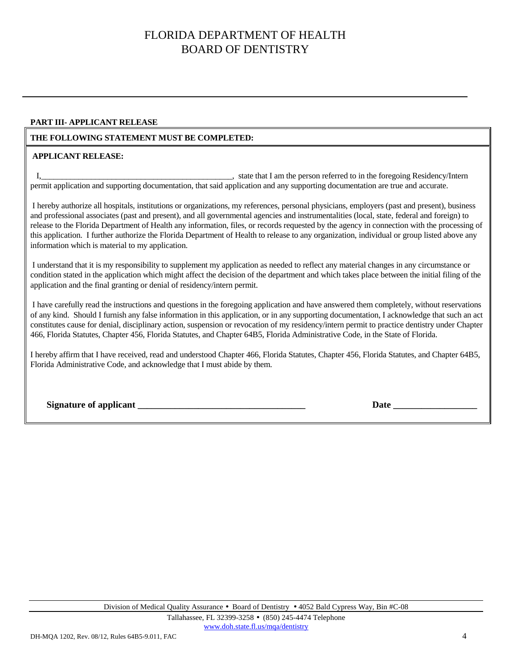#### **PART III- APPLICANT RELEASE**

### **THE FOLLOWING STATEMENT MUST BE COMPLETED:**

#### **APPLICANT RELEASE:**

I, state that I am the person referred to in the foregoing Residency/Intern permit application and supporting documentation, that said application and any supporting documentation are true and accurate.

 I hereby authorize all hospitals, institutions or organizations, my references, personal physicians, employers (past and present), business and professional associates (past and present), and all governmental agencies and instrumentalities (local, state, federal and foreign) to release to the Florida Department of Health any information, files, or records requested by the agency in connection with the processing of this application. I further authorize the Florida Department of Health to release to any organization, individual or group listed above any information which is material to my application.

 I understand that it is my responsibility to supplement my application as needed to reflect any material changes in any circumstance or condition stated in the application which might affect the decision of the department and which takes place between the initial filing of the application and the final granting or denial of residency/intern permit.

 I have carefully read the instructions and questions in the foregoing application and have answered them completely, without reservations of any kind. Should I furnish any false information in this application, or in any supporting documentation, I acknowledge that such an act constitutes cause for denial, disciplinary action, suspension or revocation of my residency/intern permit to practice dentistry under Chapter 466, Florida Statutes, Chapter 456, Florida Statutes, and Chapter 64B5, Florida Administrative Code, in the State of Florida.

I hereby affirm that I have received, read and understood Chapter 466, Florida Statutes, Chapter 456, Florida Statutes, and Chapter 64B5, Florida Administrative Code, and acknowledge that I must abide by them.

| <b>Signature of applicant</b> |
|-------------------------------|
|-------------------------------|

**Date**  $\frac{1}{2}$